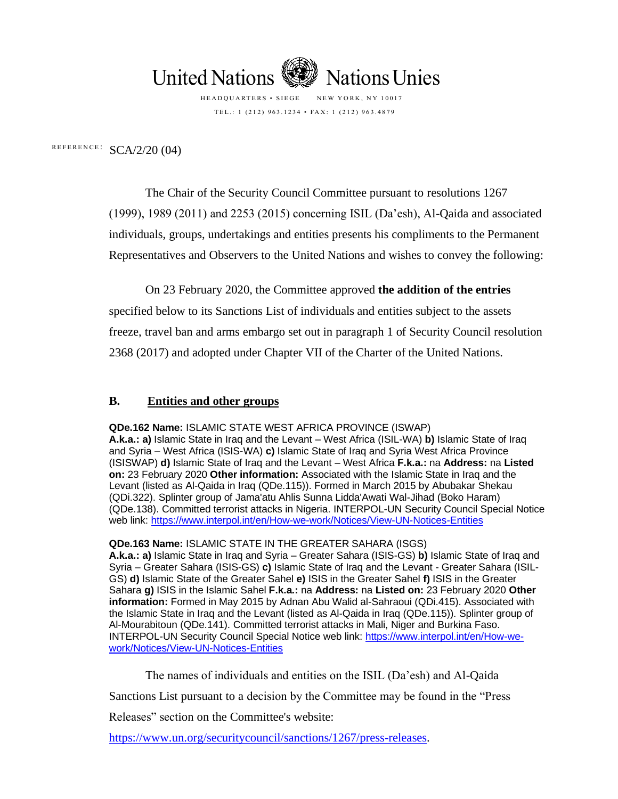

HEADQUARTERS • SIEGE NEW YORK, NY 10017 TEL .: 1 (212) 963.1234 • FAX: 1 (212) 963.4879

REFERENCE:  $SCA/2/20$  (04)

The Chair of the Security Council Committee pursuant to resolutions 1267 (1999), 1989 (2011) and 2253 (2015) concerning ISIL (Da'esh), Al-Qaida and associated individuals, groups, undertakings and entities presents his compliments to the Permanent Representatives and Observers to the United Nations and wishes to convey the following:

On 23 February 2020, the Committee approved **the addition of the entries** specified below to its Sanctions List of individuals and entities subject to the assets freeze, travel ban and arms embargo set out in paragraph 1 of Security Council resolution 2368 (2017) and adopted under Chapter VII of the Charter of the United Nations.

## **B. Entities and other groups**

**QDe.162 Name:** ISLAMIC STATE WEST AFRICA PROVINCE (ISWAP) **A.k.a.: a)** Islamic State in Iraq and the Levant – West Africa (ISIL-WA) **b)** Islamic State of Iraq and Syria – West Africa (ISIS-WA) **c)** Islamic State of Iraq and Syria West Africa Province (ISISWAP) **d)** Islamic State of Iraq and the Levant – West Africa **F.k.a.:** na **Address:** na **Listed on:** 23 February 2020 **Other information:** Associated with the Islamic State in Iraq and the Levant (listed as Al-Qaida in Iraq (QDe.115)). Formed in March 2015 by Abubakar Shekau (QDi.322). Splinter group of Jama'atu Ahlis Sunna Lidda'Awati Wal-Jihad (Boko Haram) (QDe.138). Committed terrorist attacks in Nigeria. INTERPOL-UN Security Council Special Notice web link:<https://www.interpol.int/en/How-we-work/Notices/View-UN-Notices-Entities>

#### **QDe.163 Name:** ISLAMIC STATE IN THE GREATER SAHARA (ISGS)

**A.k.a.: a)** Islamic State in Iraq and Syria – Greater Sahara (ISIS-GS) **b)** Islamic State of Iraq and Syria – Greater Sahara (ISIS-GS) **c)** Islamic State of Iraq and the Levant - Greater Sahara (ISIL-GS) **d)** Islamic State of the Greater Sahel **e)** ISIS in the Greater Sahel **f)** ISIS in the Greater Sahara **g)** ISIS in the Islamic Sahel **F.k.a.:** na **Address:** na **Listed on:** 23 February 2020 **Other information:** Formed in May 2015 by Adnan Abu Walid al-Sahraoui (QDi.415). Associated with the Islamic State in Iraq and the Levant (listed as Al-Qaida in Iraq (QDe.115)). Splinter group of Al-Mourabitoun (QDe.141). Committed terrorist attacks in Mali, Niger and Burkina Faso. INTERPOL-UN Security Council Special Notice web link: [https://www.interpol.int/en/How-we](https://www.interpol.int/en/How-we-work/Notices/View-UN-Notices-Entities)[work/Notices/View-UN-Notices-Entities](https://www.interpol.int/en/How-we-work/Notices/View-UN-Notices-Entities)

The names of individuals and entities on the ISIL (Da'esh) and Al-Qaida Sanctions List pursuant to a decision by the Committee may be found in the "Press Releases" section on the Committee's website:

https://www.un.org/securitycouncil/sanctions/1267/press-releases.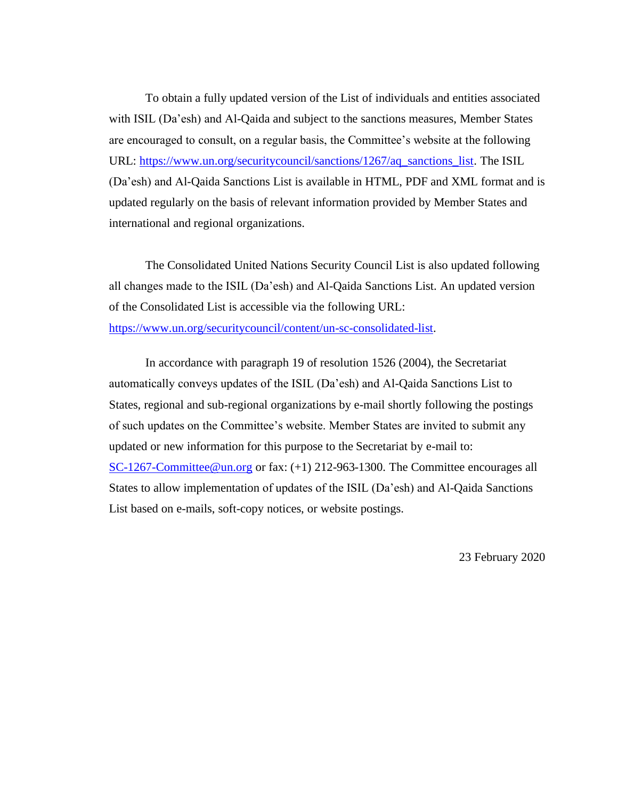To obtain a fully updated version of the List of individuals and entities associated with ISIL (Da'esh) and Al-Qaida and subject to the sanctions measures, Member States are encouraged to consult, on a regular basis, the Committee's website at the following URL: [https://www.un.org/securitycouncil/sanctions/1267/aq\\_sanctions\\_list.](https://www.un.org/securitycouncil/sanctions/1267/aq_sanctions_list) The ISIL (Da'esh) and Al-Qaida Sanctions List is available in HTML, PDF and XML format and is updated regularly on the basis of relevant information provided by Member States and international and regional organizations.

The Consolidated United Nations Security Council List is also updated following all changes made to the ISIL (Da'esh) and Al-Qaida Sanctions List. An updated version of the Consolidated List is accessible via the following URL: [https://www.un.org/securitycouncil/content/un-sc-consolidated-list.](https://www.un.org/securitycouncil/content/un-sc-consolidated-list)

In accordance with paragraph 19 of resolution 1526 (2004), the Secretariat automatically conveys updates of the ISIL (Da'esh) and Al-Qaida Sanctions List to States, regional and sub-regional organizations by e-mail shortly following the postings of such updates on the Committee's website. Member States are invited to submit any updated or new information for this purpose to the Secretariat by e-mail to: [SC-1267-Committee@un.org](mailto:SC-1267-Committee@un.org) or fax: (+1) 212-963-1300. The Committee encourages all States to allow implementation of updates of the ISIL (Da'esh) and Al-Qaida Sanctions List based on e-mails, soft-copy notices, or website postings.

23 February 2020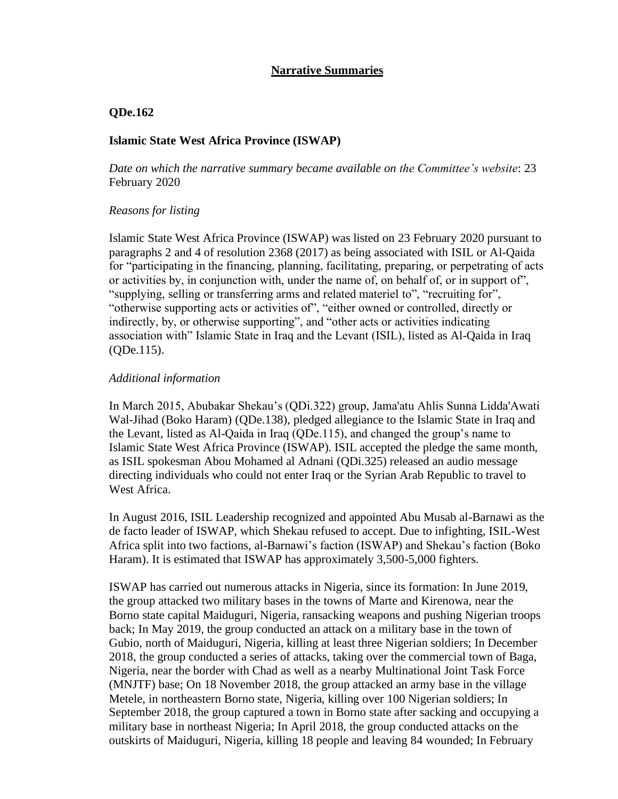# **Narrative Summaries**

## **QDe.162**

## **Islamic State West Africa Province (ISWAP)**

*Date on which the narrative summary became available on the Committee's website*: 23 February 2020

## *Reasons for listing*

Islamic State West Africa Province (ISWAP) was listed on 23 February 2020 pursuant to paragraphs 2 and 4 of resolution 2368 (2017) as being associated with ISIL or Al-Qaida for "participating in the financing, planning, facilitating, preparing, or perpetrating of acts or activities by, in conjunction with, under the name of, on behalf of, or in support of", "supplying, selling or transferring arms and related materiel to", "recruiting for", "otherwise supporting acts or activities of", "either owned or controlled, directly or indirectly, by, or otherwise supporting", and "other acts or activities indicating association with" Islamic State in Iraq and the Levant (ISIL), listed as Al-Qaida in Iraq (QDe.115).

## *Additional information*

In March 2015, Abubakar Shekau's (QDi.322) group, Jama'atu Ahlis Sunna Lidda'Awati Wal-Jihad (Boko Haram) (QDe.138), pledged allegiance to the Islamic State in Iraq and the Levant, listed as Al-Qaida in Iraq (QDe.115), and changed the group's name to Islamic State West Africa Province (ISWAP). ISIL accepted the pledge the same month, as ISIL spokesman Abou Mohamed al Adnani (QDi.325) released an audio message directing individuals who could not enter Iraq or the Syrian Arab Republic to travel to West Africa.

In August 2016, ISIL Leadership recognized and appointed Abu Musab al-Barnawi as the de facto leader of ISWAP, which Shekau refused to accept. Due to infighting, ISIL-West Africa split into two factions, al-Barnawi's faction (ISWAP) and Shekau's faction (Boko Haram). It is estimated that ISWAP has approximately 3,500-5,000 fighters.

ISWAP has carried out numerous attacks in Nigeria, since its formation: In June 2019, the group attacked two military bases in the towns of Marte and Kirenowa, near the Borno state capital Maiduguri, Nigeria, ransacking weapons and pushing Nigerian troops back; In May 2019, the group conducted an attack on a military base in the town of Gubio, north of Maiduguri, Nigeria, killing at least three Nigerian soldiers; In December 2018, the group conducted a series of attacks, taking over the commercial town of Baga, Nigeria, near the border with Chad as well as a nearby Multinational Joint Task Force (MNJTF) base; On 18 November 2018, the group attacked an army base in the village Metele, in northeastern Borno state, Nigeria, killing over 100 Nigerian soldiers; In September 2018, the group captured a town in Borno state after sacking and occupying a military base in northeast Nigeria; In April 2018, the group conducted attacks on the outskirts of Maiduguri, Nigeria, killing 18 people and leaving 84 wounded; In February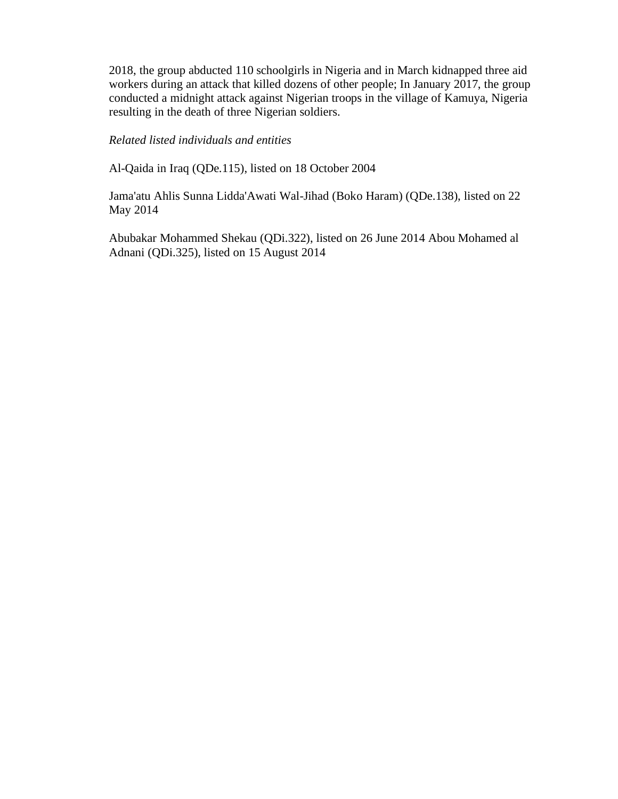2018, the group abducted 110 schoolgirls in Nigeria and in March kidnapped three aid workers during an attack that killed dozens of other people; In January 2017, the group conducted a midnight attack against Nigerian troops in the village of Kamuya, Nigeria resulting in the death of three Nigerian soldiers.

# *Related listed individuals and entities*

Al-Qaida in Iraq (QDe.115), listed on 18 October 2004

Jama'atu Ahlis Sunna Lidda'Awati Wal-Jihad (Boko Haram) (QDe.138), listed on 22 May 2014

Abubakar Mohammed Shekau (QDi.322), listed on 26 June 2014 Abou Mohamed al Adnani (QDi.325), listed on 15 August 2014